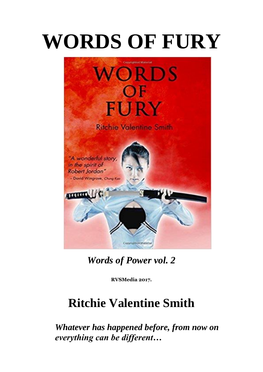# **WORDS OF FURY**



*Words of Power vol. 2*

**RVSMedia 2017.** 

# **Ritchie Valentine Smith**

*Whatever has happened before, from now on everything can be different…*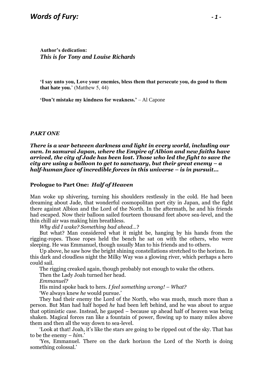**Author's dedication:**  *This is for Tony and Louise Richards*

**'I say unto you, Love your enemies, bless them that persecute you, do good to them that hate you.**' (Matthew 5, 44)

**'Don't mistake my kindness for weakness.'** – Al Capone

#### *PART ONE*

*There is a war between darkness and light in every world, including our own. In samurai Japan, where the Empire of Albion and new faiths have arrived, the city of Jade has been lost. Those who led the fight to save the city are using a balloon to get to sanctuary, but their great enemy – a half-human face of incredible forces in this universe – is in pursuit...*

#### **Prologue to Part One:** *Half of Heaven*

Man woke up shivering, turning his shoulders restlessly in the cold. He had been dreaming about Jade, that wonderful cosmopolitan port city in Japan, and the fight there against Albion and the Lord of the North. In the aftermath, he and his friends had escaped. Now their balloon sailed fourteen thousand feet above sea-level, and the thin chill air was making him breathless.

*Why did I wake? Something bad ahead…*?

But what? Man considered what it might be, hanging by his hands from the rigging-ropes. Those ropes held the bench he sat on with the others, who were sleeping. He was Emmanuel, though usually Man to his friends and to others.

Up above, he saw how the bright shining constellations stretched to the horizon. In this dark and cloudless night the Milky Way was a glowing river, which perhaps a hero could sail.

The rigging creaked again, though probably not enough to wake the others.

Then the Lady Joah turned her head.

*Emmanuel?*

His mind spoke back to hers. *I feel something wrong! – What?*

'We always knew *he* would pursue.'

They had their enemy the Lord of the North, who was much, much more than a person. But Man had half hoped *he* had been left behind, and he was about to argue that optimistic case. Instead, he gasped – because up ahead half of heaven was being shaken. Magical forces ran like a fountain of power, flowing up to many miles above them and then all the way down to sea-level.

'Look at that! Joah, it's like the stars are going to be ripped out of the sky. That has to be the enemy – *him*.'

'Yes, Emmanuel. There on the dark horizon the Lord of the North is doing something colossal.'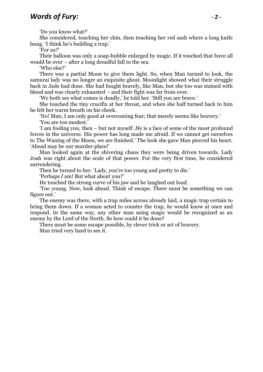'Do you know what?'

She considered, touching her chin, then touching her red sash where a long knife hung. 'I think he's building a trap.'

'For *us?*'

Their balloon was only a soap-bubble enlarged by magic. If it touched that force all would be over – after a long dreadful fall to the sea.

'Who else?'

There was a partial Moon to give them light. So, when Man turned to look, the samurai lady was no longer an exquisite ghost. Moonlight showed what their struggle back in Jade had done. She had fought bravely, like Man, but she too was stained with blood and was clearly exhausted – and their fight was far from over.

'We both see what comes is deadly,' he told her. 'Still you are brave.'

She touched the tiny crucifix at her throat, and when she half turned back to him he felt her warm breath on his cheek.

'No! Man, I am only good at overcoming fear; that merely seems like bravery.' 'You are too modest.'

'I am fooling you, then – but not myself. *He* is a face of some of the most profound forces in the universe. His power has long made me afraid. If we cannot get ourselves to The Waning of the Moon, we are finished.' The look she gave Man pierced his heart. 'Ahead may be our murder-place!'

Man looked again at the shivering chaos they were being driven towards. Lady Joah was right about the scale of that power. For the very first time, he considered surrendering.

Then he turned to her. 'Lady, you're too young and pretty to die.'

'Perhaps *I* am! But what about you?'

He touched the strong curve of his jaw and he laughed out loud.

'Too young. Now, look ahead. Think of escape. There must be something we can figure out.'

The enemy was there, with a trap miles across already laid, a magic trap certain to bring them down. If a woman acted to counter the trap, *he* would know at once and respond. In the same way, any other man using magic would be recognized as an enemy by the Lord of the North. So how could it be done?

There must be some escape possible, by clever trick or act of bravery.

Man tried very hard to see it.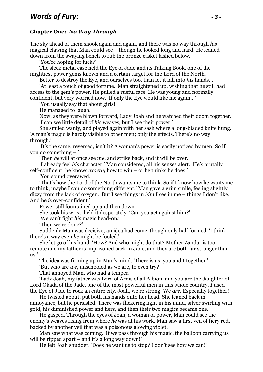#### **Chapter One:** *No Way Through*

The sky ahead of them shook again and again, and there was no way through *his* magical clawing that Man could see – though he looked long and hard. He leaned down from the swaying bench to rub the bronze casket lashed below.

'You're hoping for luck?'

The sleek metal case held the Eye of Jade and its Talking Book, one of the mightiest power gems known and a certain target for the Lord of the North.

Better to destroy the Eye, and ourselves too, than let it fall into *his* hands…

'At least a touch of good fortune.' Man straightened up, wishing that he still had access to the gem's power. He pulled a rueful face. He was young and normally confident, but very worried now. 'If only the Eye would like me again…'

'You usually say that about girls!'

He managed to laugh.

Now, as they were blown forward, Lady Joah and he watched their doom together. 'I can see little detail of *his* weaves, but I see their power.'

She smiled wanly, and played again with her sash where a long-bladed knife hung. 'A man's magic is hardly visible to other men; only the effects. There's no way through.'

'It's the same, reversed, isn't it? A woman's power is easily noticed by men. So if you do something – '

'Then *he* will at once see *me*, and strike back, and it will be over.'

'I already feel *his* character.' Man considered, all his senses alert. 'He's brutally self-confident; he knows *exactly* how to win – or he thinks he does.'

'You sound overawed.'

'That's how the Lord of the North wants me to think. So if I know how he wants me to think, maybe I can do something different.' Man gave a grim smile, feeling slightly dizzy from the lack of oxygen. 'But I see things in *him* I see in me – things I don't like. And he *is* over-confident.'

Power still fountained up and then down.

She took his wrist, held it desperately. 'Can you act against him?'

'We can't fight *his* magic head-on.'

'Then we're done?'

Suddenly Man was decisive; an idea had come, though only half formed. 'I think there's a way even *he* might be fooled.'

She let go of his hand. 'How? And who might do that? Mother Zandar is too remote and my father is imprisoned back in Jade, and they are both far stronger than  $_{\rm 11S}$ 

The idea was firming up in Man's mind. 'There is us, you and I together.'

'But who are *we*, unschooled as we are, to even try?'

That annoyed Man, who had a temper.

'Lady Joah, my father was Lord of Arms of all Albion, and you are the daughter of Lord Okada of the Jade, one of the most powerful men in this whole country. *I* used the Eye of Jade to rock an entire city. Joah, we're strong. We *are*. Especially together!'

He twisted about, put both his hands onto her head. She leaned back in annoyance, but he persisted. There was flickering light in his mind, silver swirling with gold, his diminished power and hers, and then their two magics became one.

He gasped. Through the eyes of Joah, a woman of power, Man could see the enemy's weaves rising from where *he* was at his work. Man saw a first veil of fiery red, backed by another veil that was a poisonous glowing violet.

Man saw what was coming. 'If we pass through his magic, the balloon carrying us will be ripped apart – and it's a long way down!'

He felt Joah shudder. 'Does he want us to stop? I don't see how we can!'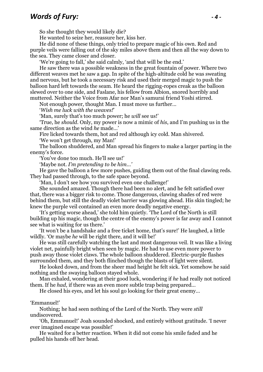## *Words of Fury: - 4 -*

So she thought they would likely die?

He wanted to seize her, reassure her, kiss her.

He did none of these things, only tried to prepare magic of his own. Red and purple veils were falling out of the sky miles above them and then all the way down to the sea. They came closer and closer.

'We're going to fall,' she said calmly, 'and that will be the end.'

He saw there was a possible weakness in the great fountain of power. Where two different weaves met he saw a gap. In spite of the high-altitude cold he was sweating and nervous, but he took a necessary risk and used their merged magic to push the balloon hard left towards the seam. He heard the rigging-ropes creak as the balloon slewed over to one side, and Faslane, his fellow from Albion, snored horribly and muttered. Neither the Voice from Afar nor Man's samurai friend Yoshi stirred.

Not enough power, thought Man. I must move us further…

'*Wish me luck with the weaves!*'

'Man, surely that's too much power; he *will* see us!'

'True, he *should*. Only, my power is now a mimic of *his*, and I'm pushing us in the same direction as the wind *he* made…'

Fire licked towards them, hot and red although icy cold. Man shivered.

'We won't get through, my Man!'

The balloon shuddered, and Man spread his fingers to make a larger parting in the enemy's force.

'You've done too much. He'll see us!'

'Maybe not. *I'm pretending to be him…'*

He gave the balloon a few more pushes, guiding them out of the final clawing reds. They had passed through, to the safe space beyond.

'Man, I don't see how you survived even one challenge!'

She sounded amazed. Though there had been no alert, and he felt satisfied over that, there was a bigger risk to come. Those dangerous, clawing shades of red were behind them, but still the deadly violet barrier was glowing ahead. His skin tingled; he knew the purple veil contained an even more deadly negative energy.

'It's getting worse ahead,' she told him quietly. 'The Lord of the North is still building up his magic, though the centre of the enemy's power is far away and I cannot see what is waiting for us there.'

'It won't be a handshake and a free ticket home, that's sure!' He laughed, a little wildly. 'Or maybe *he* will be right there, and it will be!'

He was still carefully watching the last and most dangerous veil. It was like a living violet net, painfully bright when seen by magic. He had to use even more power to push away those violet claws. The whole balloon shuddered. Electric-purple flashes surrounded them, and they both flinched though the blasts of light were silent.

He looked down, and from the sheer mad height he felt sick. Yet somehow he said nothing and the swaying balloon stayed whole.

Man exhaled, wondering at their good luck, wondering if *he* had really not noticed them. If he *had*, if there was an even more subtle trap being prepared…

He closed his eyes, and let his soul go looking for their great enemy…

#### 'Emmanuel!'

Nothing; he had seen nothing of the Lord of the North. They were *still* undiscovered.

'Oh, Emmanuel!' Joah sounded shocked, and entirely without gratitude. 'I never ever imagined escape was possible!'

He waited for a better reaction. When it did not come his smile faded and he pulled his hands off her head.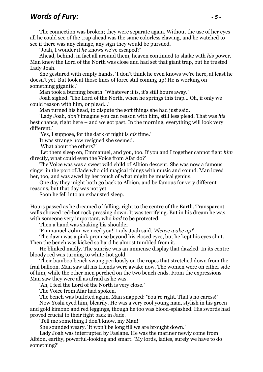## *Words of Fury: - 5 -*

The connection was broken; they were separate again. Without the use of her eyes all he could see of the trap ahead was the same colorless clawing, and he watched to see if there was any change, any sign they would be pursued.

'Joah, I wonder if *he* knows we've escaped?'

Ahead, behind, in fact all around them, heaven continued to shake with *his* power. Man knew the Lord of the North was close and had set that giant trap, but he trusted Lady Joah.

She gestured with empty hands. 'I don't think he even knows we're here, at least he doesn't yet. But look at those lines of force still coming up! He is working on something gigantic.'

Man took a burning breath. 'Whatever it is, it's still hours away.'

Joah sighed. 'The Lord of the North, when he springs this trap… Oh, if only we could reason with him, or plead…'

Man turned his head, to dispute the soft things she had just said.

'Lady Joah, *don't* imagine you can reason with him, still less plead. That was *his* best chance, right here – and we got past. In the morning, everything will look very different.'

'Yes, I suppose, for the dark of night is *his* time.'

It was strange how resigned she seemed.

'What about the others?'

'Let them sleep on, Emmanuel, and you, too. If you and I together cannot fight *him* directly, what could even the Voice from Afar do?'

The Voice was was a sweet wild child of Albion descent. She was now a famous singer in the port of Jade who did magical things with music and sound. Man loved her, too, and was awed by her touch of what might be musical genius.

One day they might both go back to Albion, and be famous for very different reasons, but that day was not yet.

Soon he fell into an exhausted sleep.

Hours passed as he dreamed of falling, right to the centre of the Earth. Transparent walls showed red-hot rock pressing down. It was terrifying. But in his dream he was with someone very important, who *had* to be protected.

Then a hand was shaking his shoulder.

'Emmanuel-John, we need you!' Lady Joah said. '*Please wake up!*'

The dawn was a pink promise beyond his closed eyes, but he kept his eyes shut. Then the bench was kicked so hard he almost tumbled from it.

He blinked madly. The sunrise was an immense display that dazzled. In its centre bloody red was turning to white-hot gold.

Their bamboo bench swung perilously on the ropes that stretched down from the frail balloon. Man saw all his friends were awake now. The women were on either side of him, while the other men perched on the two bench ends. From the expressions Man saw they were all as afraid as he was.

'Ah, I feel the Lord of the North is very close.'

The Voice from Afar had spoken.

The bench was buffeted again. Man snapped: 'You're right. That's no caress!'

Now Yoshi eyed him, blearily. He was a very cool young man, stylish in his green and gold kimono and red leggings, though he too was blood-splashed. His swords had proved crucial to their fight back in Jade.

'Tell me something I don't know, my Man!'

She sounded weary. 'It won't be long till we are brought down.'

Lady Joah was interrupted by Faslane. He was the mariner newly come from Albion, earthy, powerful-looking and smart. 'My lords, ladies, surely we have to do something?'